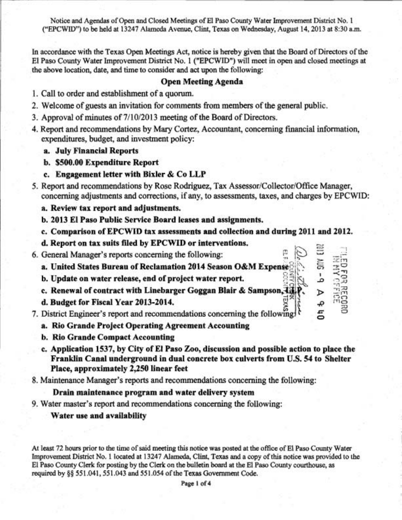Notice and Agendas of Open and Closed Meetings of El Paso County Water Improvement District No. 1 ("EPCWID) to be held at 13247 **Alarneda** Avenue, Clint, Texas on Wednesday, August 14,2013 at 8:30 a.m.

In accordmce with the Texas Open Meetings Act, notice is hereby given that the Board of Directors of the El Paso County Water Improvement District No. 1 ("EPCWID") will meet in open and closed meetings at the **above** location, date, and time to consider and act upon the following:

### Open Meeting Agenda

- 1. Call to order and establishment of a quorum.
- 2. Welcome of guests an invitation for comments from members of the general public.
- 3. Approval of minutes of 7/10/2013 meeting of the Board of Directors.
- 4. Report and recommendations by Mary Cortez, Accountant, concerning financial information, expenditures, budget, and investment policy:
	- a. July Financial Reports
	- b. **\$500.00** Expenditure Report
	- c. Engagement letter with Bixler & Co LLP
- 5. Report **and** recommendations by Rose Rodriguez, Tax **AssessorlCollectorlQffice** Manager, concerning adjustments and corrections, if any, to assessments, taxes, and charges by EPCWID:
	- a. Review tax report and adjustments.
	- b. **2013** El Paso Public Service Board leases and assignments.
	- c. Comparison of EPCWID tax assessments and collection and during **2011** and **2012.**

1

**(7** 

- **d. Report on tax suits filed by EPCWID or interventions.**<br>6. General Manager's reports concerning the following:  $\begin{bmatrix} 0 & 0 \\ 0 & 0 \end{bmatrix} \geq \frac{11}{25}$
- 

a. United States Bureau of Reclamation **2014**  Season  $\overline{O}$ &M Expense  $\overline{S}$  ,  $\overline{S}$  ,  $\overline{S}$   $\overline{S}$   $\overline{S}$   $\overline{S}$   $\overline{S}$   $\overline{S}$   $\overline{S}$   $\overline{S}$   $\overline{S}$   $\overline{S}$   $\overline{S}$   $\overline{S}$   $\overline{S}$   $\overline{S}$   $\overline{S}$   $\overline{S}$   $\overline{S}$   $\overline{S}$   $\overline{S}$   $\overline{S}$ 

- b. Update on water release, end of project water report.
- c. Renewal of contract with Linebarger Goggan Blair & Sampson,  $\mathbf{H}_{\mathbf{H}}^{\mathbf{F}}$   $\mathbf{P}_{\mathbf{v}} \in \mathbb{R}$ c. Renewal of contract with Linebarger Goggan Blair & Sampson,  $\lim_{n \to \infty} \mathbf{r}_n$  and d. Budget for Fiscal Year 2013-2014.
- 
- 7. District Engineer's report and recommendations concerning the following  $\left\{\begin{matrix} 1 & 2 \\ 3 & 3 \end{matrix}\right\}$ 
	- a. Rio Grande Project Operating Agreement Accounting
	- b. Rio Grande Compact Accounting
	- c. Application **1537,** by City of El Paso Zoo, discussion and possible action to place the Franldin Canal underground in dual concrete box culverts from U.S, **54** to Shelter Place, approximately **2,250** linear feet
- 8. Maintenance Manager's reports and recommendations concerning the following:

#### Drain maintenance program and water delivery system

9. Water master's report and recommendations concerning the following:

### Water use and availability

At least 72 hours prior to the time of said meeting this notice was posted at the office of El **Paso** County Water Improvement District No. 1 located at 13247 **Alameda,** Clint, **Texas** and a copy of this notice was provided to the El Paso County Clerk for posting by the Clerk on the bulletin board at the El Paso County courthouse, as required by **\$5** 55 1.041,55 1.043 and 55 1.054 of the Texas Government Code.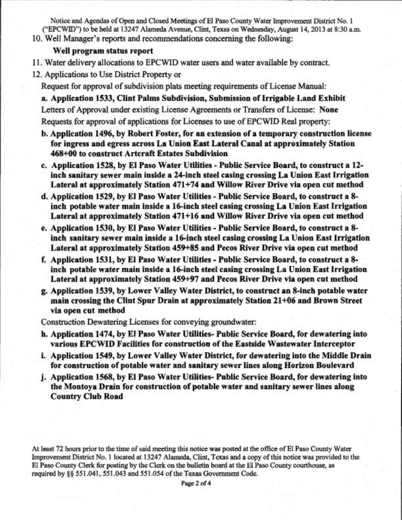Notice and Agendas of Open and Closed Meetings of El Paso County Water Improvement District No, 1 ("EPCWID") to be held at 13247 Alarneda Avenue, Cljnt, Texas on Wednesday, August 14,2013 at 8:30 a.m. 10. Well Manager's reports and recommendations concerning the following:

## Well program status report

- 1 **1.** Water delivery allocations to EPCWID water users **and** water available by contract.
- 12. Applications to Use District Property or

Request for approval of subdivision plats meeting requirements of License Manual:

a. Application 1533, Clint Palms Subdivision, Submission of Irrigable Land Exhibit Letters of Approval under existing License Agreements or Transfers of License: None Requests for approval of applications for Licenses to use of EPCWID Real property:

- b. Application 1496, by Robert Foster, for an extension of a temporary construction license for ingress and egress across La Union East Lateral Canal at approximately Station 468+00 to construct Artcraft Estates Subdivision
- c. Application 1528, by El Paso Water Utilities Public Service Board, to construct a 12 inch sanitary sewer main inside a 24-inch steel casing crossing La Union East Irrigation Lateral at approximately Station 471+74 and Willow River Drive via open cut method
- d. Application 1529, by El Paso Water Utilities Public Service Board, to construct a 8 inch potable water main inside a 16-inch steel casing crossing La Union East Irrigation Lateral at approximately Station 471+16 and Willow River Drive via open cut method
- e. Application 1530, by El Paso Water Utilities Public Service Board, to construct a **8**  inch sanitary sewer main inside a 16-inch steel casing crossing La Union East Irrigation Lateral at approximately Station 459+85 and Pecos River Drive via open cut method
- f, Application 1531, by El Paso Water Utilities Public Service Board, to construct a 8 inch potable water main inside a 16-inch steel casing crossing La Union East Irrigation Lateral at approximately Station 459+97 and Pecos River Drive via open cut method
- g. Application 1539, by Lower Valley Water District, to construct an 8-inch potable water main crossing the Clint Spur Drain at approximately Station 21+06 and Brown Street via open cut method

Construction Dewatering Licenses for conveying groundwater:

- h. Application 1474, by El Paso Water Utilities- Public Service Board, for dewatering into various EPCWID Facilities for construction of the Eastside Wastewater Interceptor
- i. Application 1549, by Lower Valley Water District, for dewatering into the Middle Drain for construction of potable water and sanitary sewer lines along Horizon Boulevard
- 1. Application 1568, by El Paso Water Utilities- Public Service Board, for dewatering into the Montoya Drain for construction of potable water and sanitary sewer lines along Country Club Road

At least 72 hours prior to the time of said meeting this notice **was** posted at the office of El Paso County Wata Improvement District No. 1 located at 13247 Alarneda, Clint, Texas and a copy of this notice was provided to the El **Paso** County Clerk for posting by the Clerk on the bulletin board at the El **Paso** County courthouse, as required by **\$8** 55 1.041,55 1.043 and 55 1.054 of the Texas Government Code.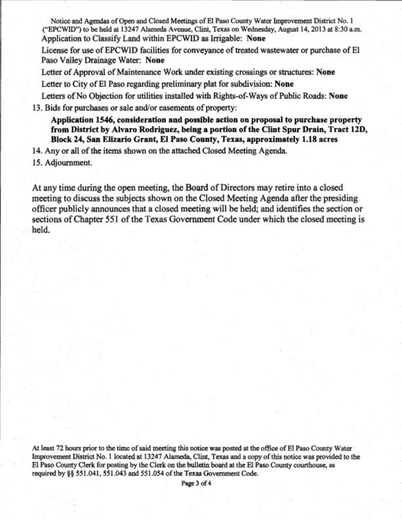Notice and Agendas of **Open** and Closed Meetings of El Pasa County Water Improvement District No. 1 ("EPCWID") to be held at 13247 Alameda Avenue, Clint, Texas on Wednesday, August 14, 2013 at 8:30 a.m. Application to Classify Land within EPCWID **as** Irrigable: **None** 

License for use of EPCWID facilities for conveyance of treated wastewater or purchase of El Paso Valley Drainage Water: **None** 

Letter of Approval of Maintenance Work under existing crossings or structures: **None**  Letter to City of El Paso regarding preliminary plat for subdivision: **None** 

Letters of No Objection for utilities installed with Rights-of-Ways of Public Roads: **None** 

13. Bids for purchases or sale and/or easements of property:

**Application 1546, consideration and possible action on proposal to purchase property from District by Alvaro Rodriguez, being a portion of the Clint Spur Drain, Tract 12D, Block 24 Ssp Elizario Grant, El Paso County, Texas, approximately 1.18 acres** 

14. Any or all of **the** items shown on the attached Closed Meeting Agenda.

**15,** Adjournment.

At any time during the open meeting, the Board of Directors may retire into a closed meeting to discuss the subjects shown on the Closed Meeting Agenda after the presiding officer publicly announces that a closed meeting will be held; and identifies the section or sections of Chapter 551 of the Texas Government Code under which the closed meeting is held,

At least 72 hours prior to the time of said meeting this notice **was** posted at the office of El Paso County Water Improvement District No. 1 located at 13247 **Alameda,** Clint, Texas and a copy of this notice **was** provided to the El Paso County Clerk for posting by the Clerk on the bulletin board at the El Paso County courthouse, as required by **\$8** 55 1.041,551.043 and 551.054 of the Texas Government Code.